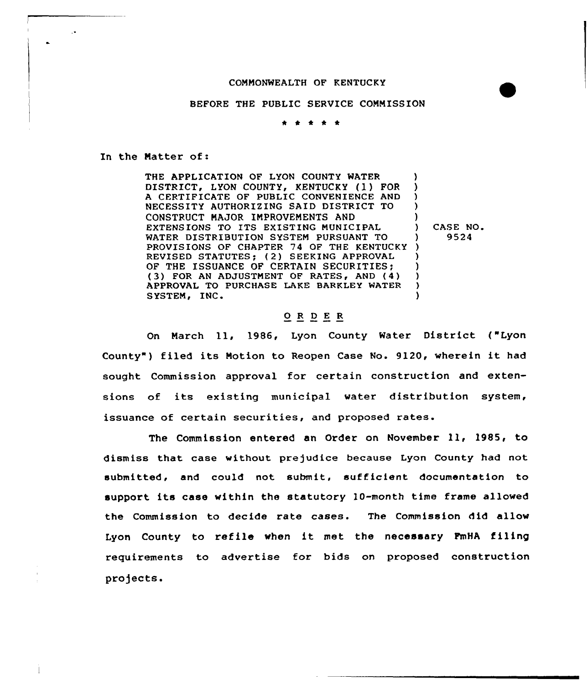## CONNONWEALTH OF KENTUCKY



## BEFORE THE PUBLIC SERVICE COMNISSION

## . . . . .

In the Natter of:

 $\ddot{\phantom{0}}$ 

THE APPLICATION OF LYON COUNTY WATER DISTRICT, LYON COUNTY, KENTUCKY (1) FOR A CERTIFICATE OF PUBLIC CONVENIENCE AND NECESSITY AUTHORIZING SAID DISTRICT TO CONSTRUCT NAJOR INPROVENENTS AND EXTENSIONS TO ITS EXISTING NUNICIPAL WATER DISTRIBUTION SYSTEM PURSUANT TO PROVISIONS OF CHAPTER 74 OF THE KENTUCKY ) REVISED STATUTES; (2) SEEKING APPROVAL OF THE ISSUANCE OF CERTAIN SECURITIES; FOR AN ADJUSTNENT QF RATES, AND (4) APPROVAL TO PURCHASE LAKE BARKLEY WATER SYSTEM, INC ) ) )  $\lambda$ ) ) CASE NO ) 9524 ) ) ) ) )

## 0 <sup>R</sup> <sup>D</sup> E R

On Narch 11, 1986, Lyon County Water District ("Lyon County") filed its Motion to Reopen Case No. 9120, wherein it had sought Commission approval for certain construction and extensions of its existing municipal water distribution system, issuance of certain securities, and proposed rates.

The Commission entered an Order on November ll, 1985, to dismiss that case without prejudice because Lyon County had not submitted, and could not submit, sufficient documentation to support its case within the statutory 10-month time frame allowed the Commission to decide rate cases. The Commission did allow Lyon County to refile when it met the necessary FmHA filing requirements to advertise for bids on proposed construction projects.